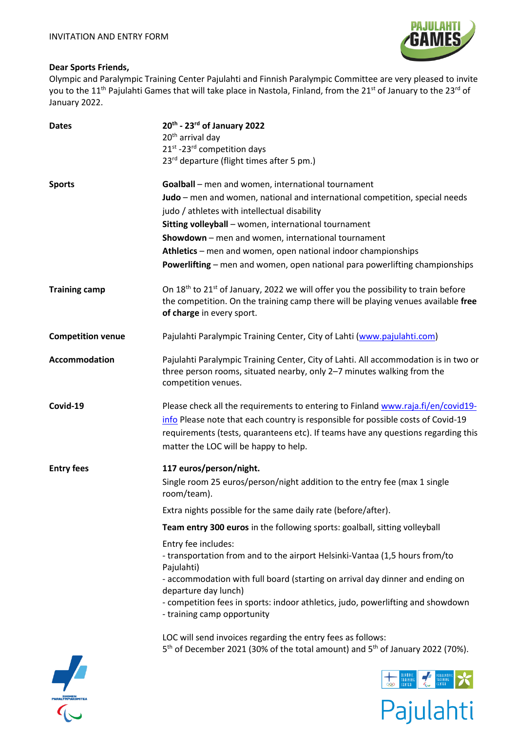

Pajulahti

## **Dear Sports Friends,**

SUOME<br>ALYMPIA

 $\mathcal{C}_{\mathbb{C}}$ 

Olympic and Paralympic Training Center Pajulahti and Finnish Paralympic Committee are very pleased to invite you to the 11<sup>th</sup> Pajulahti Games that will take place in Nastola, Finland, from the 21<sup>st</sup> of January to the 23<sup>rd</sup> of January 2022.

| <b>Dates</b>             | 20th - 23rd of January 2022<br>20 <sup>th</sup> arrival day<br>21 <sup>st</sup> -23 <sup>rd</sup> competition days<br>23rd departure (flight times after 5 pm.)                                                                                                                                                                                                                                                                                                                                                                                                                                   |  |  |  |  |  |
|--------------------------|---------------------------------------------------------------------------------------------------------------------------------------------------------------------------------------------------------------------------------------------------------------------------------------------------------------------------------------------------------------------------------------------------------------------------------------------------------------------------------------------------------------------------------------------------------------------------------------------------|--|--|--|--|--|
| <b>Sports</b>            | Goalball - men and women, international tournament<br>Judo - men and women, national and international competition, special needs<br>judo / athletes with intellectual disability<br>Sitting volleyball - women, international tournament<br>Showdown - men and women, international tournament<br>Athletics – men and women, open national indoor championships<br>Powerlifting - men and women, open national para powerlifting championships                                                                                                                                                   |  |  |  |  |  |
| <b>Training camp</b>     | On 18 <sup>th</sup> to 21 <sup>st</sup> of January, 2022 we will offer you the possibility to train before<br>the competition. On the training camp there will be playing venues available free<br>of charge in every sport.                                                                                                                                                                                                                                                                                                                                                                      |  |  |  |  |  |
| <b>Competition venue</b> | Pajulahti Paralympic Training Center, City of Lahti (www.pajulahti.com)                                                                                                                                                                                                                                                                                                                                                                                                                                                                                                                           |  |  |  |  |  |
| Accommodation            | Pajulahti Paralympic Training Center, City of Lahti. All accommodation is in two or<br>three person rooms, situated nearby, only 2-7 minutes walking from the<br>competition venues.                                                                                                                                                                                                                                                                                                                                                                                                              |  |  |  |  |  |
| Covid-19                 | Please check all the requirements to entering to Finland www.raja.fi/en/covid19-<br>info Please note that each country is responsible for possible costs of Covid-19<br>requirements (tests, quaranteens etc). If teams have any questions regarding this<br>matter the LOC will be happy to help.                                                                                                                                                                                                                                                                                                |  |  |  |  |  |
| <b>Entry fees</b>        | 117 euros/person/night.<br>Single room 25 euros/person/night addition to the entry fee (max 1 single<br>room/team).                                                                                                                                                                                                                                                                                                                                                                                                                                                                               |  |  |  |  |  |
|                          | Extra nights possible for the same daily rate (before/after).                                                                                                                                                                                                                                                                                                                                                                                                                                                                                                                                     |  |  |  |  |  |
|                          | Team entry 300 euros in the following sports: goalball, sitting volleyball<br>Entry fee includes:<br>- transportation from and to the airport Helsinki-Vantaa (1,5 hours from/to<br>Pajulahti)<br>- accommodation with full board (starting on arrival day dinner and ending on<br>departure day lunch)<br>- competition fees in sports: indoor athletics, judo, powerlifting and showdown<br>- training camp opportunity<br>LOC will send invoices regarding the entry fees as follows:<br>5 <sup>th</sup> of December 2021 (30% of the total amount) and 5 <sup>th</sup> of January 2022 (70%). |  |  |  |  |  |
|                          | <b>TRAININ</b><br>TRAINING<br>(ENTER<br>989                                                                                                                                                                                                                                                                                                                                                                                                                                                                                                                                                       |  |  |  |  |  |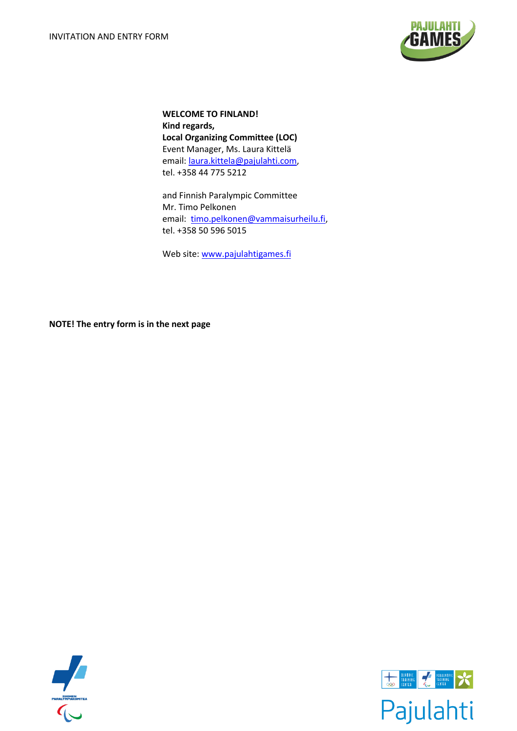

**WELCOME TO FINLAND! Kind regards, Local Organizing Committee (LOC)** Event Manager, Ms. Laura Kittelä email: [laura.kittela@pajulahti.com,](mailto:laura.kittela@pajulahti.com) tel. +358 44 775 5212

and Finnish Paralympic Committee Mr. Timo Pelkonen email: [timo.pelkonen@vammaisurheilu.fi,](mailto:timo.pelkonen@vammaisurheilu.fi) tel. +358 50 596 5015

Web site: [www.pajulahtigames.fi](http://www.pajulahtigames.fi/)

**NOTE! The entry form is in the next page**



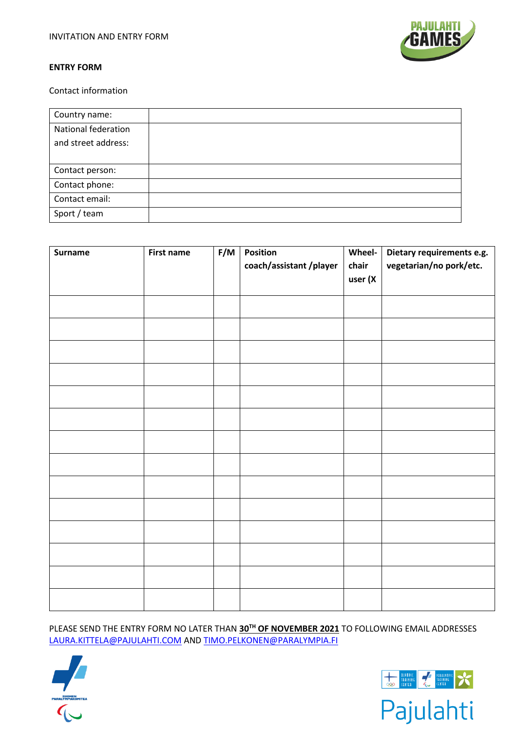

Contact information

| Country name:       |  |
|---------------------|--|
| National federation |  |
| and street address: |  |
|                     |  |
| Contact person:     |  |
| Contact phone:      |  |
| Contact email:      |  |
| Sport / team        |  |

| <b>First name</b> | F/M | Position<br>coach/assistant/player | Wheel-<br>chair<br>user (X | Dietary requirements e.g.<br>vegetarian/no pork/etc. |
|-------------------|-----|------------------------------------|----------------------------|------------------------------------------------------|
|                   |     |                                    |                            |                                                      |
|                   |     |                                    |                            |                                                      |
|                   |     |                                    |                            |                                                      |
|                   |     |                                    |                            |                                                      |
|                   |     |                                    |                            |                                                      |
|                   |     |                                    |                            |                                                      |
|                   |     |                                    |                            |                                                      |
|                   |     |                                    |                            |                                                      |
|                   |     |                                    |                            |                                                      |
|                   |     |                                    |                            |                                                      |

PLEASE SEND THE ENTRY FORM NO LATER THAN **30TH OF NOVEMBER 2021** TO FOLLOWING EMAIL ADDRESSES [LAURA.KITTELA@PAJULAHTI.COM](mailto:LAURA.KITTELA@PAJULAHTI.COM) AND [TIMO.PELKONEN@PARALYMPIA.FI](mailto:TIMO.PELKONEN@PARALYMPIA.FI)







Pajulahti